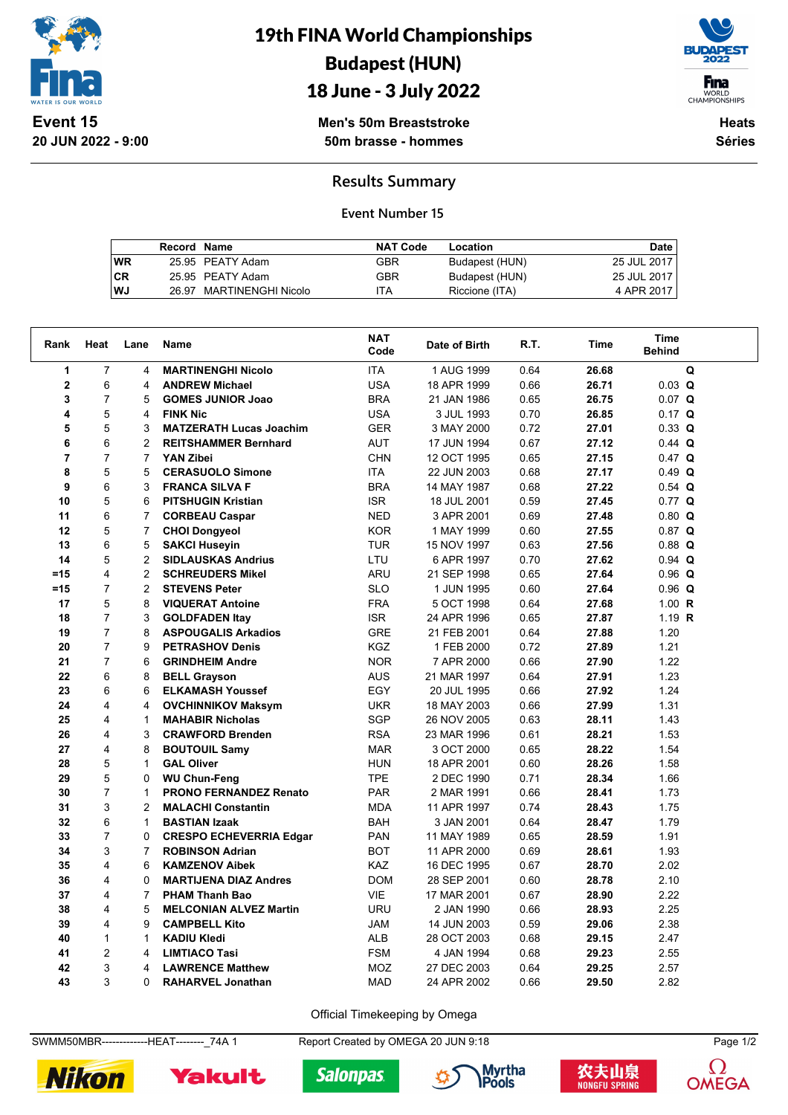

**20 JUN 2022 - 9:00**

# 19th FINA World Championships Budapest (HUN)

## 18 June - 3 July 2022



**Men's 50m Breaststroke 50m brasse - hommes**

**Heats Séries**

### **Results Summary**

#### **Event Number 15**

|           | <b>Record Name</b> |                          | <b>NAT Code</b> | Location       | Date        |
|-----------|--------------------|--------------------------|-----------------|----------------|-------------|
| WR        |                    | 25.95 PEATY Adam         | GBR             | Budapest (HUN) | 25 JUL 2017 |
| <b>CR</b> |                    | 25.95 PEATY Adam         | GBR             | Budapest (HUN) | 25 JUL 2017 |
| WJ        |                    | 26.97 MARTINENGHI Nicolo | ITA             | Riccione (ITA) | 4 APR 2017  |

| Rank           | Heat           | Lane           | Name                           | <b>NAT</b><br>Code | Date of Birth | R.T. | Time  | <b>Time</b><br><b>Behind</b> |  |
|----------------|----------------|----------------|--------------------------------|--------------------|---------------|------|-------|------------------------------|--|
| 1              | $\overline{7}$ | 4              | <b>MARTINENGHI Nicolo</b>      | <b>ITA</b>         | 1 AUG 1999    | 0.64 | 26.68 | Q                            |  |
| $\mathbf 2$    | 6              | 4              | <b>ANDREW Michael</b>          | <b>USA</b>         | 18 APR 1999   | 0.66 | 26.71 | $0.03$ Q                     |  |
| 3              | $\overline{7}$ | 5              | <b>GOMES JUNIOR Joao</b>       | <b>BRA</b>         | 21 JAN 1986   | 0.65 | 26.75 | $0.07$ Q                     |  |
| 4              | 5              | 4              | <b>FINK Nic</b>                | <b>USA</b>         | 3 JUL 1993    | 0.70 | 26.85 | $0.17$ Q                     |  |
| 5              | 5              | 3              | <b>MATZERATH Lucas Joachim</b> | <b>GER</b>         | 3 MAY 2000    | 0.72 | 27.01 | $0.33$ Q                     |  |
| 6              | 6              | 2              | <b>REITSHAMMER Bernhard</b>    | <b>AUT</b>         | 17 JUN 1994   | 0.67 | 27.12 | $0.44$ Q                     |  |
| $\overline{7}$ | $\overline{7}$ | $\overline{7}$ | YAN Zibei                      | <b>CHN</b>         | 12 OCT 1995   | 0.65 | 27.15 | $0.47$ Q                     |  |
| 8              | 5              | 5              | <b>CERASUOLO Simone</b>        | <b>ITA</b>         | 22 JUN 2003   | 0.68 | 27.17 | $0.49$ Q                     |  |
| 9              | 6              | 3              | <b>FRANCA SILVA F</b>          | <b>BRA</b>         | 14 MAY 1987   | 0.68 | 27.22 | $0.54$ Q                     |  |
| 10             | 5              | 6              | <b>PITSHUGIN Kristian</b>      | <b>ISR</b>         | 18 JUL 2001   | 0.59 | 27.45 | $0.77$ Q                     |  |
| 11             | 6              | $\overline{7}$ | <b>CORBEAU Caspar</b>          | <b>NED</b>         | 3 APR 2001    | 0.69 | 27.48 | $0.80$ Q                     |  |
| 12             | 5              | $\overline{7}$ | <b>CHOI Dongyeol</b>           | <b>KOR</b>         | 1 MAY 1999    | 0.60 | 27.55 | $0.87$ Q                     |  |
| 13             | 6              | 5              | <b>SAKCI Huseyin</b>           | <b>TUR</b>         | 15 NOV 1997   | 0.63 | 27.56 | $0.88$ Q                     |  |
| 14             | 5              | $\overline{2}$ | <b>SIDLAUSKAS Andrius</b>      | LTU                | 6 APR 1997    | 0.70 | 27.62 | $0.94$ Q                     |  |
| $=15$          | 4              | $\overline{2}$ | <b>SCHREUDERS Mikel</b>        | ARU                | 21 SEP 1998   | 0.65 | 27.64 | $0.96$ Q                     |  |
| $=15$          | $\overline{7}$ | $\overline{2}$ | <b>STEVENS Peter</b>           | <b>SLO</b>         | 1 JUN 1995    | 0.60 | 27.64 | $0.96$ Q                     |  |
| 17             | 5              | 8              | <b>VIQUERAT Antoine</b>        | <b>FRA</b>         | 5 OCT 1998    | 0.64 | 27.68 | 1.00 $R$                     |  |
| 18             | $\overline{7}$ | 3              | <b>GOLDFADEN Itay</b>          | <b>ISR</b>         | 24 APR 1996   | 0.65 | 27.87 | 1.19 $R$                     |  |
| 19             | $\overline{7}$ | 8              | <b>ASPOUGALIS Arkadios</b>     | <b>GRE</b>         | 21 FEB 2001   | 0.64 | 27.88 | 1.20                         |  |
| 20             | $\overline{7}$ | 9              | <b>PETRASHOV Denis</b>         | <b>KGZ</b>         | 1 FEB 2000    | 0.72 | 27.89 | 1.21                         |  |
| 21             | $\overline{7}$ | 6              | <b>GRINDHEIM Andre</b>         | <b>NOR</b>         | 7 APR 2000    | 0.66 | 27.90 | 1.22                         |  |
| 22             | 6              | 8              | <b>BELL Grayson</b>            | <b>AUS</b>         | 21 MAR 1997   | 0.64 | 27.91 | 1.23                         |  |
| 23             | 6              | 6              | <b>ELKAMASH Youssef</b>        | EGY                | 20 JUL 1995   | 0.66 | 27.92 | 1.24                         |  |
| 24             | 4              | 4              | <b>OVCHINNIKOV Maksym</b>      | <b>UKR</b>         | 18 MAY 2003   | 0.66 | 27.99 | 1.31                         |  |
| 25             | 4              | $\mathbf{1}$   | <b>MAHABIR Nicholas</b>        | <b>SGP</b>         | 26 NOV 2005   | 0.63 | 28.11 | 1.43                         |  |
| 26             | 4              | 3              | <b>CRAWFORD Brenden</b>        | <b>RSA</b>         | 23 MAR 1996   | 0.61 | 28.21 | 1.53                         |  |
| 27             | 4              | 8              | <b>BOUTOUIL Samy</b>           | <b>MAR</b>         | 3 OCT 2000    | 0.65 | 28.22 | 1.54                         |  |
| 28             | 5              | $\mathbf{1}$   | <b>GAL Oliver</b>              | <b>HUN</b>         | 18 APR 2001   | 0.60 | 28.26 | 1.58                         |  |
| 29             | 5              | 0              | <b>WU Chun-Feng</b>            | <b>TPE</b>         | 2 DEC 1990    | 0.71 | 28.34 | 1.66                         |  |
| 30             | $\overline{7}$ | $\mathbf{1}$   | <b>PRONO FERNANDEZ Renato</b>  | <b>PAR</b>         | 2 MAR 1991    | 0.66 | 28.41 | 1.73                         |  |
| 31             | 3              | $\overline{2}$ | <b>MALACHI Constantin</b>      | <b>MDA</b>         | 11 APR 1997   | 0.74 | 28.43 | 1.75                         |  |
| 32             | 6              | $\mathbf{1}$   | <b>BASTIAN Izaak</b>           | <b>BAH</b>         | 3 JAN 2001    | 0.64 | 28.47 | 1.79                         |  |
| 33             | $\overline{7}$ | 0              | <b>CRESPO ECHEVERRIA Edgar</b> | <b>PAN</b>         | 11 MAY 1989   | 0.65 | 28.59 | 1.91                         |  |
| 34             | 3              | 7              | <b>ROBINSON Adrian</b>         | <b>BOT</b>         | 11 APR 2000   | 0.69 | 28.61 | 1.93                         |  |
| 35             | 4              | 6              | <b>KAMZENOV Aibek</b>          | KAZ                | 16 DEC 1995   | 0.67 | 28.70 | 2.02                         |  |
| 36             | 4              | 0              | <b>MARTIJENA DIAZ Andres</b>   | <b>DOM</b>         | 28 SEP 2001   | 0.60 | 28.78 | 2.10                         |  |
| 37             | 4              | $\overline{7}$ | <b>PHAM Thanh Bao</b>          | VIE                | 17 MAR 2001   | 0.67 | 28.90 | 2.22                         |  |
| 38             | 4              | 5              | <b>MELCONIAN ALVEZ Martin</b>  | <b>URU</b>         | 2 JAN 1990    | 0.66 | 28.93 | 2.25                         |  |
| 39             | 4              | 9              | <b>CAMPBELL Kito</b>           | <b>JAM</b>         | 14 JUN 2003   | 0.59 | 29.06 | 2.38                         |  |
| 40             | $\mathbf{1}$   | $\mathbf{1}$   | <b>KADIU Kledi</b>             | ALB                | 28 OCT 2003   | 0.68 | 29.15 | 2.47                         |  |
| 41             | $\overline{2}$ | 4              | <b>LIMTIACO Tasi</b>           | <b>FSM</b>         | 4 JAN 1994    | 0.68 | 29.23 | 2.55                         |  |
| 42             | 3              | 4              | <b>LAWRENCE Matthew</b>        | MOZ                | 27 DEC 2003   | 0.64 | 29.25 | 2.57                         |  |
| 43             | 3              | $\Omega$       | <b>RAHARVEL Jonathan</b>       | <b>MAD</b>         | 24 APR 2002   | 0.66 | 29.50 | 2.82                         |  |

Official Timekeeping by Omega

SWMM50MBR--------------HEAT---------\_74A 1 Report Created by OMEGA 20 JUN 9:18 Page 1/2